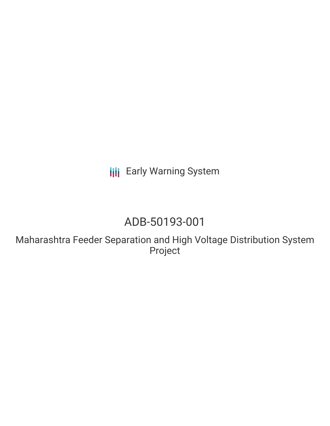**III** Early Warning System

## ADB-50193-001

Maharashtra Feeder Separation and High Voltage Distribution System Project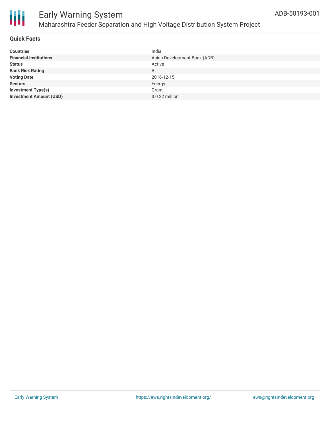

### Early Warning System Maharashtra Feeder Separation and High Voltage Distribution System Project

### **Quick Facts**

| <b>Countries</b>               | India                        |
|--------------------------------|------------------------------|
| <b>Financial Institutions</b>  | Asian Development Bank (ADB) |
| <b>Status</b>                  | Active                       |
| <b>Bank Risk Rating</b>        | B                            |
| <b>Voting Date</b>             | 2016-12-15                   |
| <b>Sectors</b>                 | Energy                       |
| Investment Type(s)             | Grant                        |
| <b>Investment Amount (USD)</b> | $$0.22$ million              |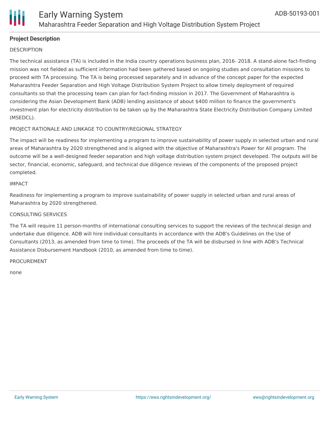

### **Project Description**

### **DESCRIPTION**

The technical assistance (TA) is included in the India country operations business plan, 2016- 2018. A stand-alone fact-finding mission was not fielded as sufficient information had been gathered based on ongoing studies and consultation missions to proceed with TA processing. The TA is being processed separately and in advance of the concept paper for the expected Maharashtra Feeder Separation and High Voltage Distribution System Project to allow timely deployment of required consultants so that the processing team can plan for fact-finding mission in 2017. The Government of Maharashtra is considering the Asian Development Bank (ADB) lending assistance of about \$400 million to finance the government's investment plan for electricity distribution to be taken up by the Maharashtra State Electricity Distribution Company Limited (MSEDCL).

### PROJECT RATIONALE AND LINKAGE TO COUNTRY/REGIONAL STRATEGY

The impact will be readiness for implementing a program to improve sustainability of power supply in selected urban and rural areas of Maharashtra by 2020 strengthened and is aligned with the objective of Maharashtra's Power for All program. The outcome will be a well-designed feeder separation and high voltage distribution system project developed. The outputs will be sector, financial, economic, safeguard, and technical due diligence reviews of the components of the proposed project completed.

### IMPACT

Readiness for implementing a program to improve sustainability of power supply in selected urban and rural areas of Maharashtra by 2020 strengthened.

### CONSULTING SERVICES

The TA will require 11 person-months of international consulting services to support the reviews of the technical design and undertake due diligence. ADB will hire individual consultants in accordance with the ADB's Guidelines on the Use of Consultants (2013, as amended from time to time). The proceeds of the TA will be disbursed in line with ADB's Technical Assistance Disbursement Handbook (2010, as amended from time to time).

### PROCUREMENT

none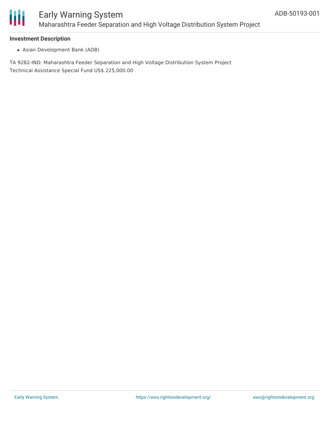

### Early Warning System Maharashtra Feeder Separation and High Voltage Distribution System Project

### **Investment Description**

Asian Development Bank (ADB)

TA 9282-IND: Maharashtra Feeder Separation and High Voltage Distribution System Project Technical Assistance Special Fund US\$ 225,000.00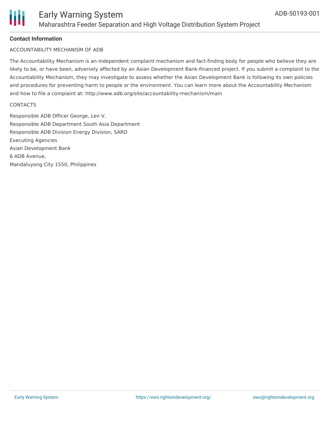

### **Contact Information**

### ACCOUNTABILITY MECHANISM OF ADB

The Accountability Mechanism is an independent complaint mechanism and fact-finding body for people who believe they are likely to be, or have been, adversely affected by an Asian Development Bank-financed project. If you submit a complaint to the Accountability Mechanism, they may investigate to assess whether the Asian Development Bank is following its own policies and procedures for preventing harm to people or the environment. You can learn more about the Accountability Mechanism and how to file a complaint at: http://www.adb.org/site/accountability-mechanism/main

#### **CONTACTS**

Responsible ADB Officer George, Len V. Responsible ADB Department South Asia Department Responsible ADB Division Energy Division, SARD Executing Agencies Asian Development Bank 6 ADB Avenue, Mandaluyong City 1550, Philippines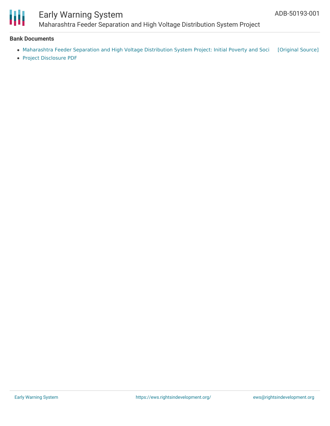

# Early Warning System

Maharashtra Feeder Separation and High Voltage Distribution System Project

### **Bank Documents**

- [Maharashtra](https://ewsdata.rightsindevelopment.org/files/documents/01/ADB-50193-001.pdf) Feeder Separation and High Voltage Distribution System Project: Initial Poverty and Soci [\[Original](https://www.adb.org/projects/documents/ind-maharashtra-feeder-separation-and-high-voltage-distribution-system-ipsa) Source]
- Project [Disclosure](https://www.adb.org/printpdf/projects/50193-001/main) PDF